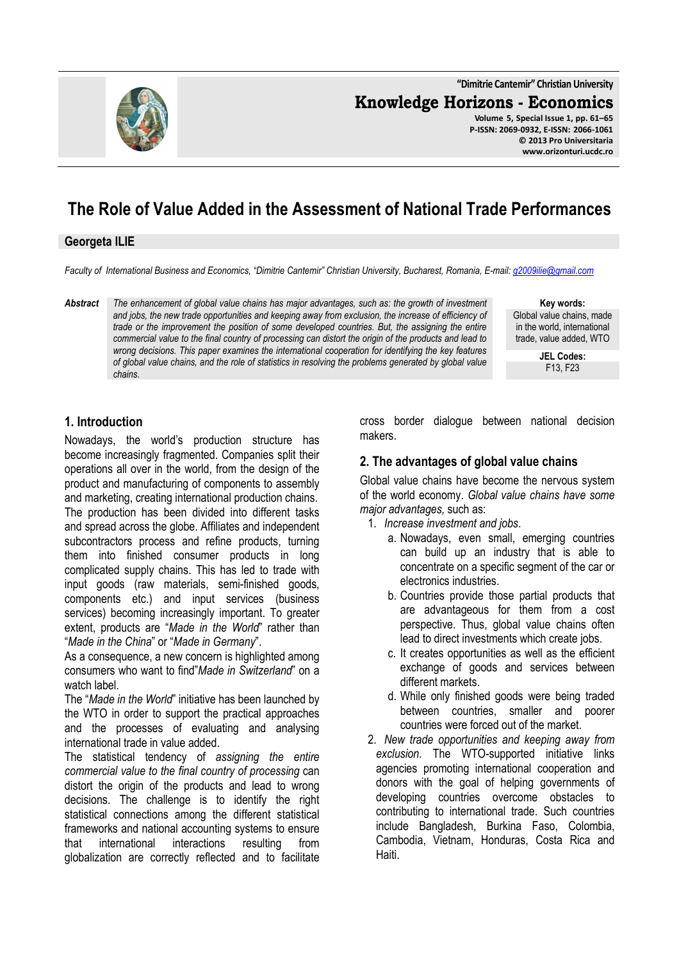**"Dimitrie Cantemir" Christian University**

**Knowledge Horizons - Economics**

**Volume 5, Special Issue 1, pp. 61–65 P-ISSN: 2069-0932, E-ISSN: 2066-1061 © 2013 Pro Universitaria www.orizonturi.ucdc.ro**

# **The Role of Value Added in the Assessment of National Trade Performances**

#### **Georgeta ILIE**

*Faculty of International Business and Economics, "Dimitrie Cantemir" Christian University, Bucharest, Romania, E-mail: g2009ilie@gmail.com*

*Abstract The enhancement of global value chains has major advantages, such as: the growth of investment and jobs, the new trade opportunities and keeping away from exclusion, the increase of efficiency of trade or the improvement the position of some developed countries. But, the assigning the entire commercial value to the final country of processing can distort the origin of the products and lead to wrong decisions. This paper examines the international cooperation for identifying the key features of global value chains, and the role of statistics in resolving the problems generated by global value chains.* 

**Key words:** Global value chains, made in the world, international trade, value added, WTO

> **JEL Codes:** F13, F23

#### **1. Introduction**

Nowadays, the world's production structure has become increasingly fragmented. Companies split their operations all over in the world, from the design of the product and manufacturing of components to assembly and marketing, creating international production chains. The production has been divided into different tasks and spread across the globe. Affiliates and independent subcontractors process and refine products, turning them into finished consumer products in long complicated supply chains. This has led to trade with input goods (raw materials, semi-finished goods, components etc.) and input services (business services) becoming increasingly important. To greater extent, products are "*Made in the World*" rather than "*Made in the China*" or "*Made in Germany*".

As a consequence, a new concern is highlighted among consumers who want to find"*Made in Switzerland*" on a watch label.

The "*Made in the World*" initiative has been launched by the WTO in order to support the practical approaches and the processes of evaluating and analysing international trade in value added.

The statistical tendency of *assigning the entire commercial value to the final country of processing* can distort the origin of the products and lead to wrong decisions. The challenge is to identify the right statistical connections among the different statistical frameworks and national accounting systems to ensure that international interactions resulting from globalization are correctly reflected and to facilitate

cross border dialogue between national decision makers.

#### **2. The advantages of global value chains**

Global value chains have become the nervous system of the world economy. *Global value chains have some major advantages,* such as:

- 1. *Increase investment and jobs*.
	- a. Nowadays, even small, emerging countries can build up an industry that is able to concentrate on a specific segment of the car or electronics industries.
	- b. Countries provide those partial products that are advantageous for them from a cost perspective. Thus, global value chains often lead to direct investments which create jobs.
	- c. It creates opportunities as well as the efficient exchange of goods and services between different markets.
	- d. While only finished goods were being traded between countries, smaller and poorer countries were forced out of the market.
- 2. *New trade opportunities and keeping away from exclusion*. The WTO-supported initiative links agencies promoting international cooperation and donors with the goal of helping governments of developing countries overcome obstacles to contributing to international trade. Such countries include Bangladesh, Burkina Faso, Colombia, Cambodia, Vietnam, Honduras, Costa Rica and Haiti.

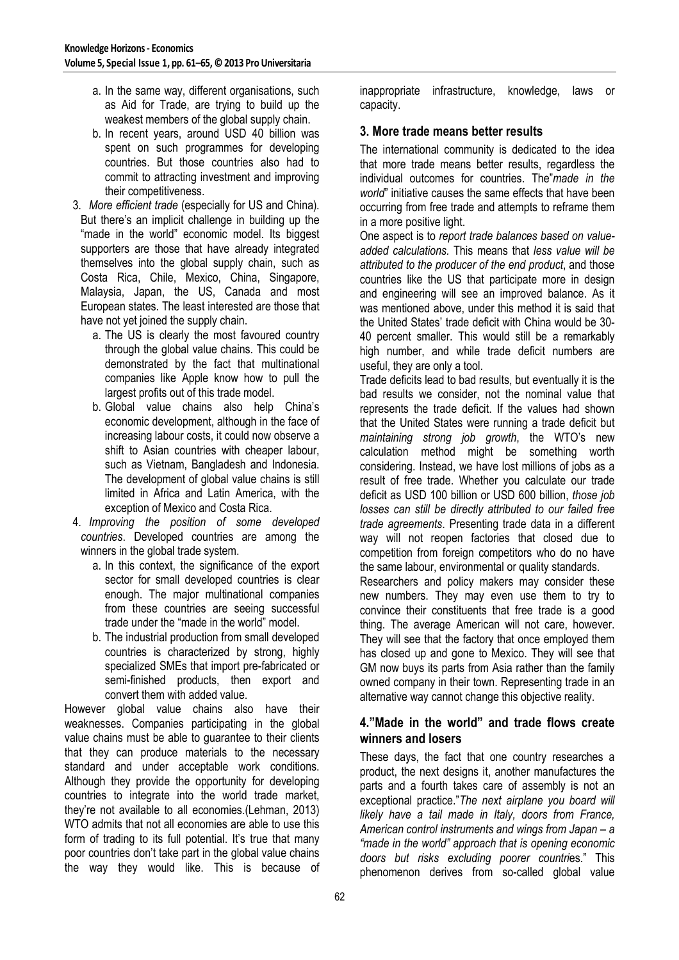- a. In the same way, different organisations, such as Aid for Trade, are trying to build up the weakest members of the global supply chain.
- b. In recent years, around USD 40 billion was spent on such programmes for developing countries. But those countries also had to commit to attracting investment and improving their competitiveness.
- 3. *More efficient trade* (especially for US and China). But there's an implicit challenge in building up the "made in the world" economic model. Its biggest supporters are those that have already integrated themselves into the global supply chain, such as Costa Rica, Chile, Mexico, China, Singapore, Malaysia, Japan, the US, Canada and most European states. The least interested are those that have not yet joined the supply chain.
	- a. The US is clearly the most favoured country through the global value chains. This could be demonstrated by the fact that multinational companies like Apple know how to pull the largest profits out of this trade model.
	- b. Global value chains also help China's economic development, although in the face of increasing labour costs, it could now observe a shift to Asian countries with cheaper labour, such as Vietnam, Bangladesh and Indonesia. The development of global value chains is still limited in Africa and Latin America, with the exception of Mexico and Costa Rica.
- 4. *Improving the position of some developed countries*. Developed countries are among the winners in the global trade system.
	- a. In this context, the significance of the export sector for small developed countries is clear enough. The major multinational companies from these countries are seeing successful trade under the "made in the world" model.
	- b. The industrial production from small developed countries is characterized by strong, highly specialized SMEs that import pre-fabricated or semi-finished products, then export and convert them with added value.

However global value chains also have their weaknesses. Companies participating in the global value chains must be able to guarantee to their clients that they can produce materials to the necessary standard and under acceptable work conditions. Although they provide the opportunity for developing countries to integrate into the world trade market, they're not available to all economies.(Lehman, 2013) WTO admits that not all economies are able to use this form of trading to its full potential. It's true that many poor countries don't take part in the global value chains the way they would like. This is because of inappropriate infrastructure, knowledge, laws or capacity.

## **3. More trade means better results**

The international community is dedicated to the idea that more trade means better results, regardless the individual outcomes for countries. The"*made in the world*" initiative causes the same effects that have been occurring from free trade and attempts to reframe them in a more positive light.

One aspect is to *report trade balances based on valueadded calculations.* This means that *less value will be attributed to the producer of the end product*, and those countries like the US that participate more in design and engineering will see an improved balance. As it was mentioned above, under this method it is said that the United States' trade deficit with China would be 30- 40 percent smaller. This would still be a remarkably high number, and while trade deficit numbers are useful, they are only a tool.

Trade deficits lead to bad results, but eventually it is the bad results we consider, not the nominal value that represents the trade deficit. If the values had shown that the United States were running a trade deficit but *maintaining strong job growth*, the WTO's new calculation method might be something worth considering. Instead, we have lost millions of jobs as a result of free trade. Whether you calculate our trade deficit as USD 100 billion or USD 600 billion, *those job losses can still be directly attributed to our failed free trade agreements*. Presenting trade data in a different way will not reopen factories that closed due to competition from foreign competitors who do no have the same labour, environmental or quality standards.

Researchers and policy makers may consider these new numbers. They may even use them to try to convince their constituents that free trade is a good thing. The average American will not care, however. They will see that the factory that once employed them has closed up and gone to Mexico. They will see that GM now buys its parts from Asia rather than the family owned company in their town. Representing trade in an alternative way cannot change this objective reality.

#### **4."Made in the world" and trade flows create winners and losers**

These days, the fact that one country researches a product, the next designs it, another manufactures the parts and a fourth takes care of assembly is not an exceptional practice."*The next airplane you board will likely have a tail made in Italy, doors from France, American control instruments and wings from Japan – a "made in the world" approach that is opening economic doors but risks excluding poorer countri*es." This phenomenon derives from so-called global value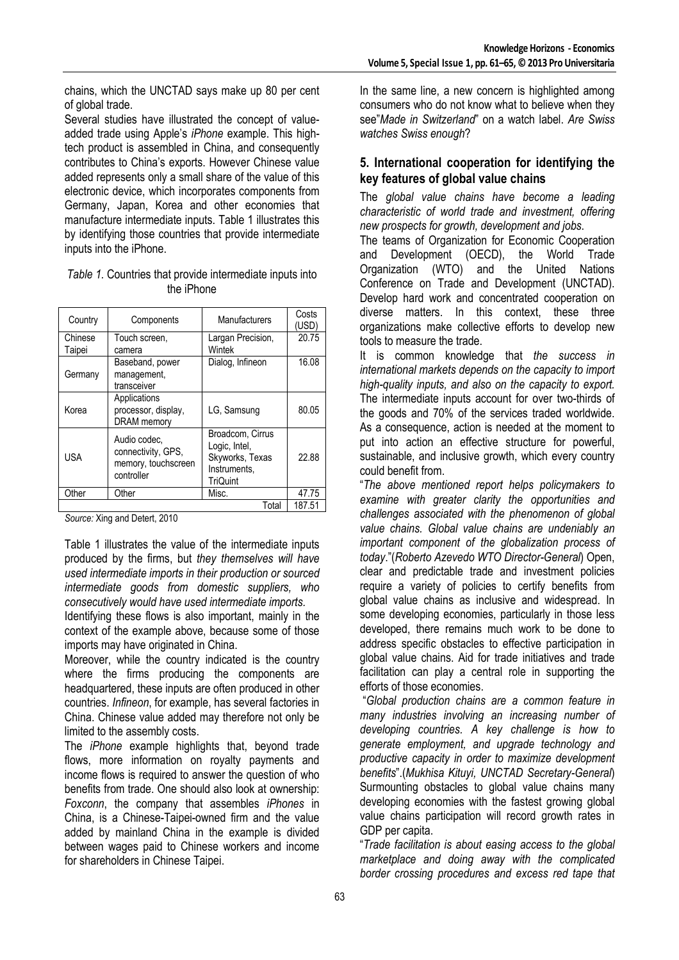chains, which the UNCTAD says make up 80 per cent of global trade.

Several studies have illustrated the concept of valueadded trade using Apple's *iPhone* example. This hightech product is assembled in China, and consequently contributes to China's exports. However Chinese value added represents only a small share of the value of this electronic device, which incorporates components from Germany, Japan, Korea and other economies that manufacture intermediate inputs. Table 1 illustrates this by identifying those countries that provide intermediate inputs into the iPhone.

| Table 1. Countries that provide intermediate inputs into |  |  |  |
|----------------------------------------------------------|--|--|--|
| the iPhone                                               |  |  |  |

| Country           | Components                                                              | Manufacturers                                                                    | Costs<br>(USD) |
|-------------------|-------------------------------------------------------------------------|----------------------------------------------------------------------------------|----------------|
| Chinese<br>Taipei | Touch screen,<br>camera                                                 | Largan Precision,<br>Wintek                                                      | 20.75          |
| Germany           | Baseband, power<br>management,<br>transceiver                           | Dialog, Infineon                                                                 | 16.08          |
| Korea             | Applications<br>processor, display,<br><b>DRAM</b> memory               | LG, Samsung                                                                      | 80.05          |
| <b>USA</b>        | Audio codec,<br>connectivity, GPS,<br>memory, touchscreen<br>controller | Broadcom, Cirrus<br>Logic, Intel,<br>Skyworks, Texas<br>Instruments.<br>TriQuint | 22.88          |
| Other             | Other                                                                   | Misc.                                                                            | 47.75          |
| Total             |                                                                         |                                                                                  |                |

*Source:* Xing and Detert, 2010

Table 1 illustrates the value of the intermediate inputs produced by the firms, but *they themselves will have used intermediate imports in their production or sourced intermediate goods from domestic suppliers, who consecutively would have used intermediate imports.*

Identifying these flows is also important, mainly in the context of the example above, because some of those imports may have originated in China.

Moreover, while the country indicated is the country where the firms producing the components are headquartered, these inputs are often produced in other countries. *Infineon*, for example, has several factories in China. Chinese value added may therefore not only be limited to the assembly costs.

The *iPhone* example highlights that, beyond trade flows, more information on royalty payments and income flows is required to answer the question of who benefits from trade. One should also look at ownership: *Foxconn*, the company that assembles *iPhones* in China, is a Chinese-Taipei-owned firm and the value added by mainland China in the example is divided between wages paid to Chinese workers and income for shareholders in Chinese Taipei.

In the same line, a new concern is highlighted among consumers who do not know what to believe when they see"*Made in Switzerland*" on a watch label. *Are Swiss watches Swiss enough*?

## **5. International cooperation for identifying the key features of global value chains**

The *global value chains have become a leading characteristic of world trade and investment, offering new prospects for growth, development and jobs*.

The teams of Organization for Economic Cooperation and Development (OECD), the World Trade Organization (WTO) and the United Nations Conference on Trade and Development (UNCTAD). Develop hard work and concentrated cooperation on diverse matters. In this context, these three organizations make collective efforts to develop new tools to measure the trade.

It is common knowledge that *the success in international markets depends on the capacity to import high-quality inputs, and also on the capacity to export.*  The intermediate inputs account for over two-thirds of the goods and 70% of the services traded worldwide. As a consequence, action is needed at the moment to put into action an effective structure for powerful, sustainable, and inclusive growth, which every country could benefit from.

"*The above mentioned report helps policymakers to examine with greater clarity the opportunities and challenges associated with the phenomenon of global value chains. Global value chains are undeniably an important component of the globalization process of today*."(*Roberto Azevedo WTO Director-General*) Open, clear and predictable trade and investment policies require a variety of policies to certify benefits from global value chains as inclusive and widespread. In some developing economies, particularly in those less developed, there remains much work to be done to address specific obstacles to effective participation in global value chains. Aid for trade initiatives and trade facilitation can play a central role in supporting the efforts of those economies.

 "*Global production chains are a common feature in many industries involving an increasing number of developing countries. A key challenge is how to generate employment, and upgrade technology and productive capacity in order to maximize development benefits*".(*Mukhisa Kituyi, UNCTAD Secretary-General*) Surmounting obstacles to global value chains many developing economies with the fastest growing global value chains participation will record growth rates in GDP per capita.

"*Trade facilitation is about easing access to the global marketplace and doing away with the complicated border crossing procedures and excess red tape that*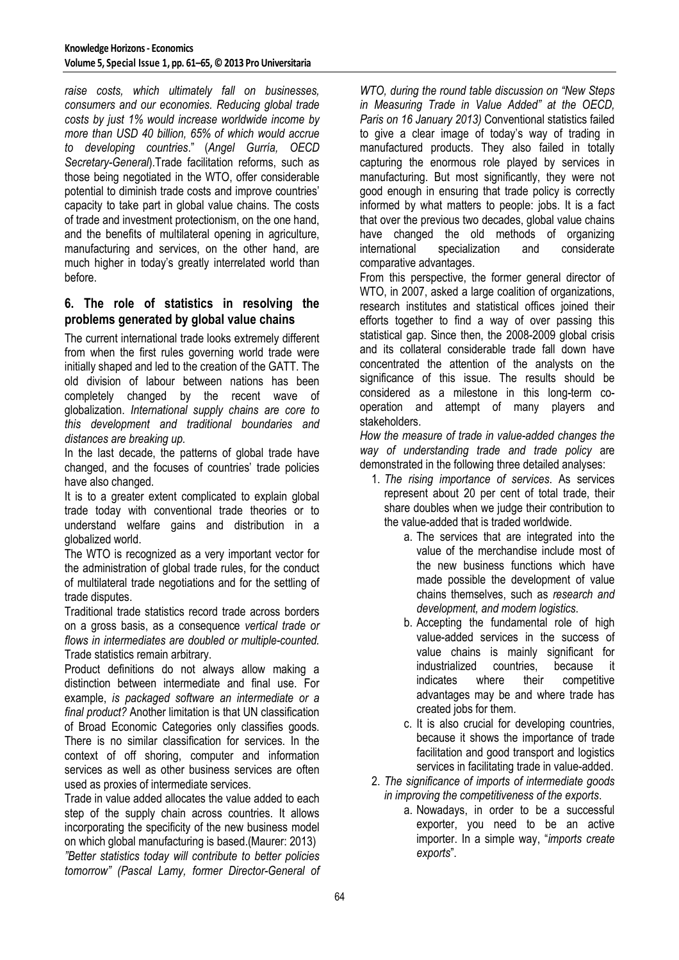*raise costs, which ultimately fall on businesses, consumers and our economies. Reducing global trade costs by just 1% would increase worldwide income by more than USD 40 billion, 65% of which would accrue to developing countries*." (*Angel Gurría, OECD Secretary-General*).Trade facilitation reforms, such as those being negotiated in the WTO, offer considerable potential to diminish trade costs and improve countries' capacity to take part in global value chains. The costs of trade and investment protectionism, on the one hand, and the benefits of multilateral opening in agriculture, manufacturing and services, on the other hand, are much higher in today's greatly interrelated world than before.

### **6. The role of statistics in resolving the problems generated by global value chains**

The current international trade looks extremely different from when the first rules governing world trade were initially shaped and led to the creation of the GATT. The old division of labour between nations has been completely changed by the recent wave of globalization. *International supply chains are core to this development and traditional boundaries and distances are breaking up.* 

In the last decade, the patterns of global trade have changed, and the focuses of countries' trade policies have also changed.

It is to a greater extent complicated to explain global trade today with conventional trade theories or to understand welfare gains and distribution in a globalized world.

The WTO is recognized as a very important vector for the administration of global trade rules, for the conduct of multilateral trade negotiations and for the settling of trade disputes.

Traditional trade statistics record trade across borders on a gross basis, as a consequence *vertical trade or flows in intermediates are doubled or multiple-counted.* Trade statistics remain arbitrary.

Product definitions do not always allow making a distinction between intermediate and final use. For example, *is packaged software an intermediate or a final product?* Another limitation is that UN classification of Broad Economic Categories only classifies goods. There is no similar classification for services. In the context of off shoring, computer and information services as well as other business services are often used as proxies of intermediate services.

Trade in value added allocates the value added to each step of the supply chain across countries. It allows incorporating the specificity of the new business model on which global manufacturing is based.(Maurer: 2013) *"Better statistics today will contribute to better policies tomorrow" (Pascal Lamy, former Director-General of*  *WTO, during the round table discussion on "New Steps in Measuring Trade in Value Added" at the OECD, Paris on 16 January 2013)* Conventional statistics failed to give a clear image of today's way of trading in manufactured products. They also failed in totally capturing the enormous role played by services in manufacturing. But most significantly, they were not good enough in ensuring that trade policy is correctly informed by what matters to people: jobs. It is a fact that over the previous two decades, global value chains have changed the old methods of organizing international specialization and considerate comparative advantages.

From this perspective, the former general director of WTO, in 2007, asked a large coalition of organizations, research institutes and statistical offices joined their efforts together to find a way of over passing this statistical gap. Since then, the 2008-2009 global crisis and its collateral considerable trade fall down have concentrated the attention of the analysts on the significance of this issue. The results should be considered as a milestone in this long-term cooperation and attempt of many players and stakeholders.

*How the measure of trade in value-added changes the way of understanding trade and trade policy* are demonstrated in the following three detailed analyses:

- 1. *The rising importance of services*. As services represent about 20 per cent of total trade, their share doubles when we judge their contribution to the value-added that is traded worldwide.
	- a. The services that are integrated into the value of the merchandise include most of the new business functions which have made possible the development of value chains themselves, such as *research and development, and modern logistics*.
	- b. Accepting the fundamental role of high value-added services in the success of value chains is mainly significant for industrialized countries, because it indicates where their competitive advantages may be and where trade has created jobs for them.
	- c. It is also crucial for developing countries, because it shows the importance of trade facilitation and good transport and logistics services in facilitating trade in value-added.
- 2. *The significance of imports of intermediate goods in improving the competitiveness of the exports*.
	- a. Nowadays, in order to be a successful exporter, you need to be an active importer. In a simple way, "*imports create exports*".